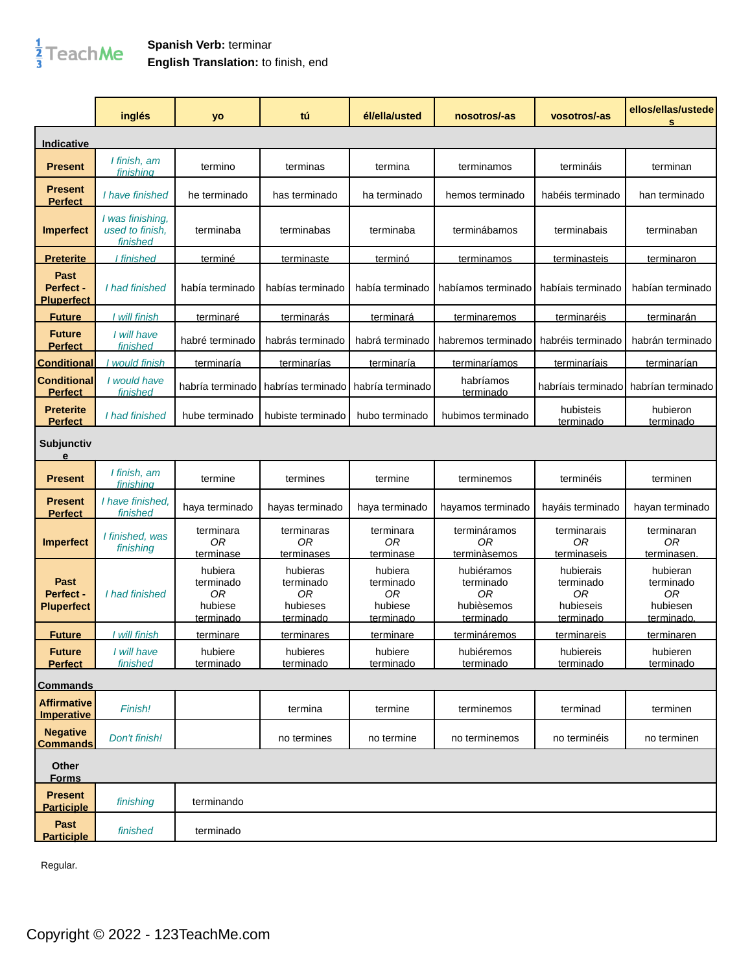## $\frac{1}{3}$ TeachMe

## **Spanish Verb:** terminar **English Translation:** to finish, end

|                                        | inglés                                          | yo                                                        | tú                                                   | él/ella/usted                                             | nosotros/-as                                                    | vosotros/-as                                                  | ellos/ellas/ustede<br>s                                      |
|----------------------------------------|-------------------------------------------------|-----------------------------------------------------------|------------------------------------------------------|-----------------------------------------------------------|-----------------------------------------------------------------|---------------------------------------------------------------|--------------------------------------------------------------|
| Indicative                             |                                                 |                                                           |                                                      |                                                           |                                                                 |                                                               |                                                              |
| <b>Present</b>                         | I finish, am<br>finishina                       | termino                                                   | terminas                                             | termina                                                   | terminamos                                                      | termináis                                                     | terminan                                                     |
| <b>Present</b><br><b>Perfect</b>       | I have finished                                 | he terminado                                              | has terminado                                        | ha terminado                                              | hemos terminado                                                 | habéis terminado                                              | han terminado                                                |
| Imperfect                              | I was finishing,<br>used to finish.<br>finished | terminaba                                                 | terminabas                                           | terminaba                                                 | terminábamos                                                    | terminabais                                                   | terminaban                                                   |
| <b>Preterite</b>                       | I finished                                      | terminé                                                   | terminaste                                           | terminó                                                   | terminamos                                                      | terminasteis                                                  | terminaron                                                   |
| Past<br>Perfect -<br><b>Pluperfect</b> | I had finished                                  | había terminado                                           | habías terminado                                     | había terminado                                           | habíamos terminado                                              | habíais terminado                                             | habían terminado                                             |
| <b>Future</b>                          | I will finish                                   | <u>terminaré</u>                                          | terminarás                                           | terminará                                                 | terminaremos                                                    | terminaréis                                                   | terminarán                                                   |
| <b>Future</b><br><b>Perfect</b>        | I will have<br>finished                         | habré terminado                                           | habrás terminado                                     | habrá terminado                                           | habremos terminado                                              | habréis terminado                                             | habrán terminado                                             |
| <b>Conditional</b>                     | I would finish                                  | <u>terminaría</u>                                         | terminarías                                          | terminaría                                                | terminaríamos                                                   | terminaríais                                                  | <u>terminarían</u>                                           |
| <b>Conditional</b><br><b>Perfect</b>   | I would have<br>finished                        | habría terminado                                          | habrías terminado                                    | habría terminado                                          | habríamos<br>terminado                                          | habríais terminado                                            | habrían terminado                                            |
| <b>Preterite</b><br><b>Perfect</b>     | I had finished                                  | hube terminado                                            | hubiste terminado                                    | hubo terminado                                            | hubimos terminado                                               | hubisteis<br>terminado                                        | hubieron<br>terminado                                        |
| Subjunctiv<br>e                        |                                                 |                                                           |                                                      |                                                           |                                                                 |                                                               |                                                              |
| <b>Present</b>                         | I finish, am<br><u>finishina</u>                | termine                                                   | termines                                             | termine                                                   | terminemos                                                      | terminéis                                                     | terminen                                                     |
| <b>Present</b><br><b>Perfect</b>       | I have finished.<br>finished                    | haya terminado                                            | hayas terminado                                      | haya terminado                                            | hayamos terminado                                               | hayáis terminado                                              | hayan terminado                                              |
| <b>Imperfect</b>                       | I finished, was<br>finishing                    | terminara<br>0R<br>terminase                              | terminaras<br>0R<br>terminases                       | terminara<br>0R<br>terminase                              | termináramos<br>0R<br>terminàsemos                              | terminarais<br>0R<br>terminaseis                              | terminaran<br>0R<br>terminasen                               |
| Past<br>Perfect -<br><b>Pluperfect</b> | I had finished                                  | hubiera<br>terminado<br>0R<br>hubiese<br><u>terminado</u> | hubieras<br>terminado<br>0R<br>hubieses<br>terminado | hubiera<br>terminado<br>0R<br>hubiese<br><u>terminado</u> | hubiéramos<br>terminado<br>0R<br>hubièsemos<br><u>terminado</u> | hubierais<br>terminado<br>0R<br>hubieseis<br><u>terminado</u> | hubieran<br>terminado<br>0R<br>hubiesen<br><u>terminado.</u> |
| <u>Future</u>                          | will finish                                     | terminare                                                 | terminares                                           | terminare                                                 | termináremos                                                    | terminareis                                                   | terminaren                                                   |
| <b>Future</b><br><b>Perfect</b>        | I will have<br>finished                         | hubiere<br>terminado                                      | hubieres<br>terminado                                | hubiere<br>terminado                                      | hubiéremos<br>terminado                                         | hubiereis<br>terminado                                        | hubieren<br>terminado                                        |
| <b>Commands</b>                        |                                                 |                                                           |                                                      |                                                           |                                                                 |                                                               |                                                              |
| <b>Affirmative</b><br>Imperative       | Finish!                                         |                                                           | termina                                              | termine                                                   | terminemos                                                      | terminad                                                      | terminen                                                     |
| <b>Negative</b><br><b>Commands</b>     | Don't finish!                                   |                                                           | no termines                                          | no termine                                                | no terminemos                                                   | no terminéis                                                  | no terminen                                                  |
| Other<br><u>Forms</u>                  |                                                 |                                                           |                                                      |                                                           |                                                                 |                                                               |                                                              |
| <b>Present</b><br><b>Participle</b>    | finishing                                       | terminando                                                |                                                      |                                                           |                                                                 |                                                               |                                                              |
| Past<br><b>Participle</b>              | finished                                        | terminado                                                 |                                                      |                                                           |                                                                 |                                                               |                                                              |

Regular.